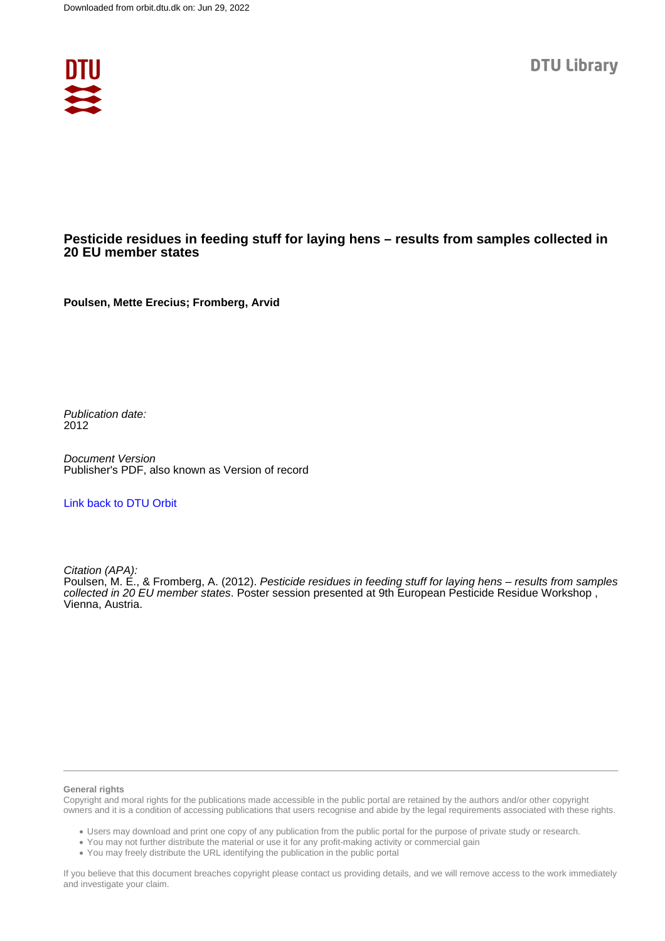

### **Pesticide residues in feeding stuff for laying hens – results from samples collected in 20 EU member states**

**Poulsen, Mette Erecius; Fromberg, Arvid**

Publication date: 2012

Document Version Publisher's PDF, also known as Version of record

### [Link back to DTU Orbit](https://orbit.dtu.dk/en/publications/206e964e-f478-4ee7-af8d-b7605b009e6e)

Citation (APA):

Poulsen, M. E., & Fromberg, A. (2012). Pesticide residues in feeding stuff for laying hens – results from samples collected in 20 EU member states. Poster session presented at 9th European Pesticide Residue Workshop , Vienna, Austria.

#### **General rights**

Copyright and moral rights for the publications made accessible in the public portal are retained by the authors and/or other copyright owners and it is a condition of accessing publications that users recognise and abide by the legal requirements associated with these rights.

Users may download and print one copy of any publication from the public portal for the purpose of private study or research.

- You may not further distribute the material or use it for any profit-making activity or commercial gain
- You may freely distribute the URL identifying the publication in the public portal

If you believe that this document breaches copyright please contact us providing details, and we will remove access to the work immediately and investigate your claim.